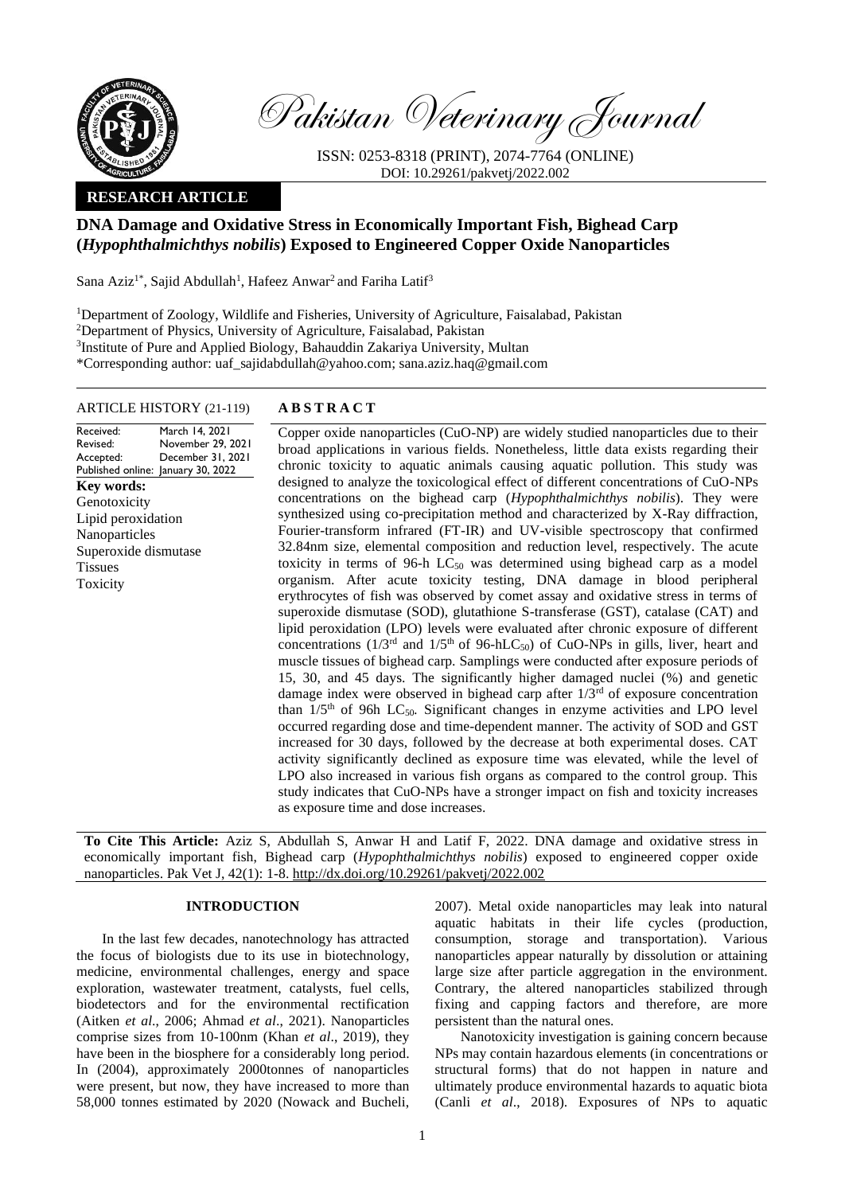

Pakistan Veterinary Journal

ISSN: 0253-8318 (PRINT), 2074-7764 (ONLINE) DOI: 10.29261/pakvetj/2022.002

# **RESEARCH ARTICLE**

# **DNA Damage and Oxidative Stress in Economically Important Fish, Bighead Carp (***Hypophthalmichthys nobilis***) Exposed to Engineered Copper Oxide Nanoparticles**

Sana Aziz<sup>1\*</sup>, Sajid Abdullah<sup>1</sup>, Hafeez Anwar<sup>2</sup> and Fariha Latif<sup>3</sup>

<sup>1</sup>Department of Zoology, Wildlife and Fisheries, University of Agriculture, Faisalabad, Pakistan <sup>2</sup>Department of Physics, University of Agriculture, Faisalabad, Pakistan <sup>3</sup>Institute of Pure and Applied Biology, Bahauddin Zakariya University, Multan \*Corresponding author: uaf\_sajidabdullah@yahoo.com; sana.aziz.haq@gmail.com

#### ARTICLE HISTORY (21-119) **A B S T R A C T**

Received: Revised: Accepted: Published online: January 30, 2022 March 14, 2021 November 29, 2021 December 31, 2021 **Key words:**  Genotoxicity Lipid peroxidation Nanoparticles Superoxide dismutase Tissues Toxicity

Copper oxide nanoparticles (CuO-NP) are widely studied nanoparticles due to their broad applications in various fields. Nonetheless, little data exists regarding their chronic toxicity to aquatic animals causing aquatic pollution. This study was designed to analyze the toxicological effect of different concentrations of CuO-NPs concentrations on the bighead carp (*Hypophthalmichthys nobilis*). They were synthesized using co-precipitation method and characterized by X-Ray diffraction, Fourier-transform infrared (FT-IR) and UV-visible spectroscopy that confirmed 32.84nm size, elemental composition and reduction level, respectively. The acute toxicity in terms of 96-h  $LC_{50}$  was determined using bighead carp as a model organism. After acute toxicity testing, DNA damage in blood peripheral erythrocytes of fish was observed by comet assay and oxidative stress in terms of superoxide dismutase (SOD), glutathione S-transferase (GST), catalase (CAT) and lipid peroxidation (LPO) levels were evaluated after chronic exposure of different concentrations ( $1/3^{rd}$  and  $1/5^{th}$  of 96-hLC<sub>50</sub>) of CuO-NPs in gills, liver, heart and muscle tissues of bighead carp. Samplings were conducted after exposure periods of 15, 30, and 45 days. The significantly higher damaged nuclei (%) and genetic damage index were observed in bighead carp after  $1/3<sup>rd</sup>$  of exposure concentration than  $1/5<sup>th</sup>$  of 96h LC<sub>50</sub>. Significant changes in enzyme activities and LPO level occurred regarding dose and time-dependent manner. The activity of SOD and GST increased for 30 days, followed by the decrease at both experimental doses. CAT activity significantly declined as exposure time was elevated, while the level of LPO also increased in various fish organs as compared to the control group. This study indicates that CuO-NPs have a stronger impact on fish and toxicity increases as exposure time and dose increases.

**To Cite This Article:** Aziz S, Abdullah S, Anwar H and Latif F, 2022. DNA damage and oxidative stress in economically important fish, Bighead carp (*Hypophthalmichthys nobilis*) exposed to engineered copper oxide nanoparticles. Pak Vet J, 42(1): 1-8[. http://dx.doi.org/10.29261/pakvetj/2022.002](http://pvj.com.pk/pdf-files/42_1/1-8.pdf) 

## **INTRODUCTION**

In the last few decades, nanotechnology has attracted the focus of biologists due to its use in biotechnology, medicine, environmental challenges, energy and space exploration, wastewater treatment, catalysts, fuel cells, biodetectors and for the environmental rectification (Aitken *et al*., 2006; Ahmad *et al*., 2021). Nanoparticles comprise sizes from 10-100nm (Khan *et al*., 2019), they have been in the biosphere for a considerably long period. In (2004), approximately 2000tonnes of nanoparticles were present, but now, they have increased to more than 58,000 tonnes estimated by 2020 (Nowack and Bucheli,

2007). Metal oxide nanoparticles may leak into natural aquatic habitats in their life cycles (production, consumption, storage and transportation). Various nanoparticles appear naturally by dissolution or attaining large size after particle aggregation in the environment. Contrary, the altered nanoparticles stabilized through fixing and capping factors and therefore, are more persistent than the natural ones.

Nanotoxicity investigation is gaining concern because NPs may contain hazardous elements (in concentrations or structural forms) that do not happen in nature and ultimately produce environmental hazards to aquatic biota (Canli *et al*., 2018). Exposures of NPs to aquatic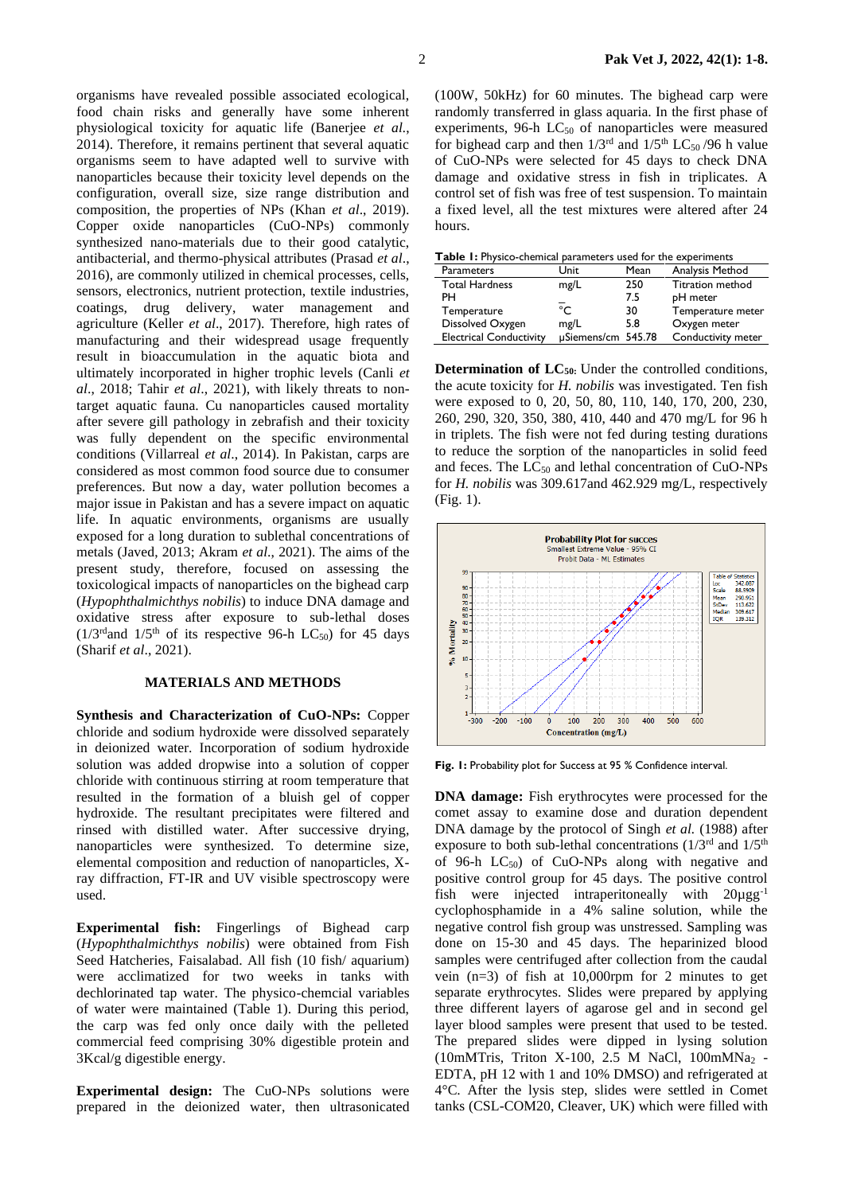organisms have revealed possible associated ecological, food chain risks and generally have some inherent physiological toxicity for aquatic life (Banerjee *et al.*, 2014). Therefore, it remains pertinent that several aquatic organisms seem to have adapted well to survive with nanoparticles because their toxicity level depends on the configuration, overall size, size range distribution and composition, the properties of NPs (Khan *et al*., 2019). Copper oxide nanoparticles (CuO-NPs) commonly synthesized nano-materials due to their good catalytic, antibacterial, and thermo-physical attributes (Prasad *et al*., 2016), are commonly utilized in chemical processes, cells, sensors, electronics, nutrient protection, textile industries, coatings, drug delivery, water management and agriculture (Keller *et al*., 2017). Therefore, high rates of manufacturing and their widespread usage frequently result in bioaccumulation in the aquatic biota and ultimately incorporated in higher trophic levels (Canli *et al*., 2018; Tahir *et al*., 2021), with likely threats to nontarget aquatic fauna. Cu nanoparticles caused mortality after severe gill pathology in zebrafish and their toxicity was fully dependent on the specific environmental conditions [\(Villarreal](https://www.ncbi.nlm.nih.gov/pubmed/?term=Villarreal%20FD%5bAuthor%5d&cauthor=true&cauthor_uid=24520417) *et al*., 2014). In Pakistan, carps are considered as most common food source due to consumer preferences. But now a day, water pollution becomes a major issue in Pakistan and has a severe impact on aquatic life. In aquatic environments, organisms are usually exposed for a long duration to sublethal concentrations of metals (Javed, 2013; Akram *et al*., 2021). The aims of the present study, therefore, focused on assessing the toxicological impacts of nanoparticles on the bighead carp (*Hypophthalmichthys nobilis*) to induce DNA damage and oxidative stress after exposure to sub-lethal doses  $(1/3^{rd}$  and  $1/5^{th}$  of its respective 96-h LC<sub>50</sub>) for 45 days (Sharif *et al*., 2021).

## **MATERIALS AND METHODS**

**Synthesis and Characterization of CuO-NPs:** Copper chloride and sodium hydroxide were dissolved separately in deionized water. Incorporation of sodium hydroxide solution was added dropwise into a solution of copper chloride with continuous stirring at room temperature that resulted in the formation of a bluish gel of copper hydroxide. The resultant precipitates were filtered and rinsed with distilled water. After successive drying, nanoparticles were synthesized. To determine size, elemental composition and reduction of nanoparticles, Xray diffraction, FT-IR and UV visible spectroscopy were used.

**Experimental fish:** Fingerlings of Bighead carp (*Hypophthalmichthys nobilis*) were obtained from Fish Seed Hatcheries, Faisalabad. All fish (10 fish/ aquarium) were acclimatized for two weeks in tanks with dechlorinated tap water. The physico-chemcial variables of water were maintained (Table 1). During this period, the carp was fed only once daily with the pelleted commercial feed comprising 30% digestible protein and 3Kcal/g digestible energy.

**Experimental design:** The CuO-NPs solutions were prepared in the deionized water, then ultrasonicated

(100W, 50kHz) for 60 minutes. The bighead carp were randomly transferred in glass aquaria. In the first phase of experiments,  $96-h$  LC<sub>50</sub> of nanoparticles were measured for bighead carp and then  $1/3^{rd}$  and  $1/5^{th}$  LC<sub>50</sub>/96 h value of CuO-NPs were selected for 45 days to check DNA damage and oxidative stress in fish in triplicates. A control set of fish was free of test suspension. To maintain a fixed level, all the test mixtures were altered after 24 hours.

|  | <b>Parameters</b>              | Unit               | Mean | Analysis Method         |
|--|--------------------------------|--------------------|------|-------------------------|
|  | <b>Total Hardness</b>          | mg/L               | 250  | <b>Titration method</b> |
|  | PН                             |                    | 7.5  | pH meter                |
|  | Temperature                    | $\overline{\circ}$ | 30   | Temperature meter       |
|  | Dissolved Oxygen               | mg/L               | 5.8  | Oxygen meter            |
|  | <b>Electrical Conductivity</b> | µSiemens/cm 545.78 |      | Conductivity meter      |

**Determination of LC<sub>50</sub>:** Under the controlled conditions, the acute toxicity for *H. nobilis* was investigated. Ten fish were exposed to 0, 20, 50, 80, 110, 140, 170, 200, 230, 260, 290, 320, 350, 380, 410, 440 and 470 mg/L for 96 h in triplets. The fish were not fed during testing durations to reduce the sorption of the nanoparticles in solid feed and feces. The  $LC_{50}$  and lethal concentration of CuO-NPs for *H. nobilis* was 309.617and 462.929 mg/L, respectively (Fig. 1).



Fig. 1: Probability plot for Success at 95 % Confidence interval.

**DNA damage:** Fish erythrocytes were processed for the comet assay to examine dose and duration dependent DNA damage by the protocol of Singh *et al.* (1988) after exposure to both sub-lethal concentrations (1/3<sup>rd</sup> and 1/5<sup>th</sup> of 96-h  $LC_{50}$  of CuO-NPs along with negative and positive control group for 45 days. The positive control fish were injected intraperitoneally with  $20\mu\text{g}g^{-1}$ cyclophosphamide in a 4% saline solution, while the negative control fish group was unstressed. Sampling was done on 15-30 and 45 days. The heparinized blood samples were centrifuged after collection from the caudal vein (n=3) of fish at 10,000rpm for 2 minutes to get separate erythrocytes. Slides were prepared by applying three different layers of agarose gel and in second gel layer blood samples were present that used to be tested. The prepared slides were dipped in lysing solution (10mMTris, Triton X-100, 2.5 M NaCl, 100mMNa<sup>2</sup> - EDTA, pH 12 with 1 and 10% DMSO) and refrigerated at 4°C. After the lysis step, slides were settled in Comet tanks (CSL-COM20, Cleaver, UK) which were filled with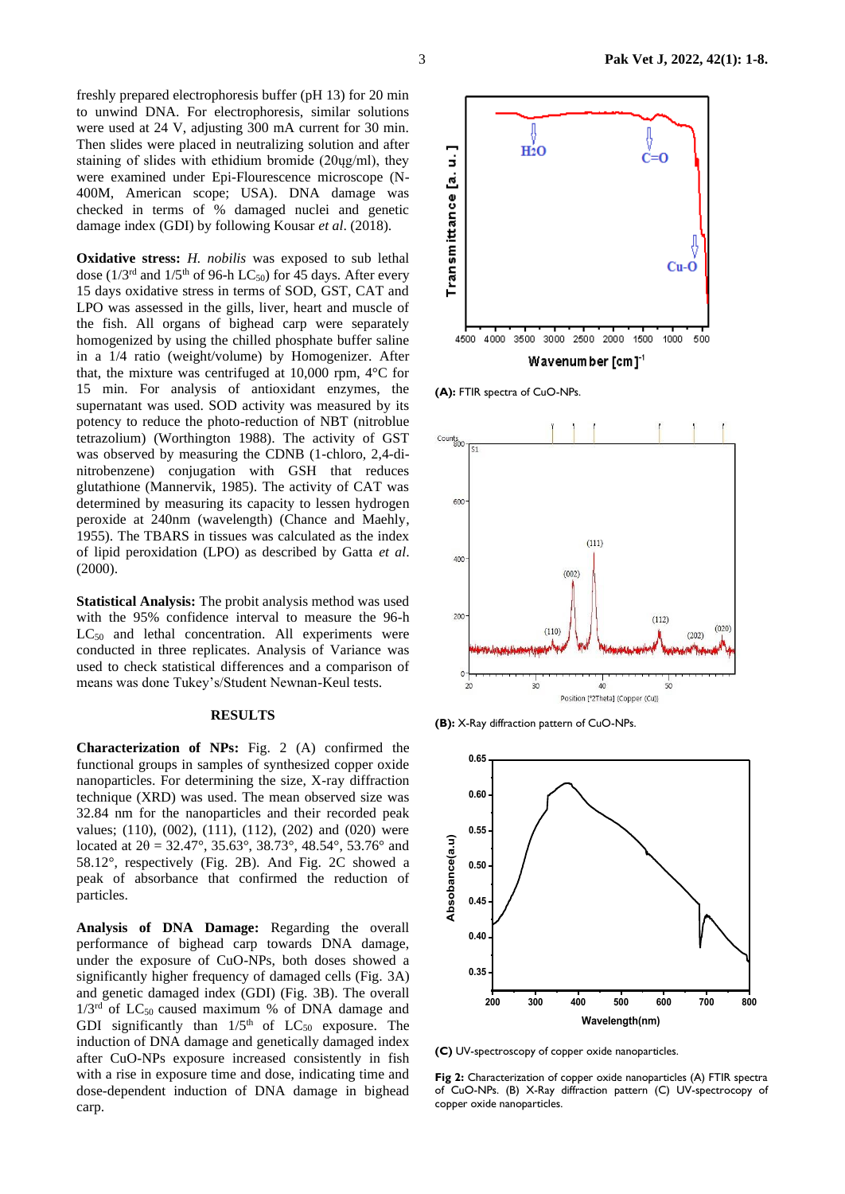freshly prepared electrophoresis buffer (pH 13) for 20 min to unwind DNA. For electrophoresis, similar solutions were used at 24 V, adjusting 300 mA current for 30 min. Then slides were placed in neutralizing solution and after staining of slides with ethidium bromide (20ųg/ml), they were examined under Epi-Flourescence microscope (N-400M, American scope; USA). DNA damage was checked in terms of % damaged nuclei and genetic damage index (GDI) by following Kousar *et al*. (2018).

**Oxidative stress:** *H. nobilis* was exposed to sub lethal dose ( $1/3^{rd}$  and  $1/5^{th}$  of 96-h LC<sub>50</sub>) for 45 days. After every 15 days oxidative stress in terms of SOD, GST, CAT and LPO was assessed in the gills, liver, heart and muscle of the fish. All organs of bighead carp were separately homogenized by using the chilled phosphate buffer saline in a 1/4 ratio (weight/volume) by Homogenizer. After that, the mixture was centrifuged at 10,000 rpm, 4°C for 15 min. For analysis of antioxidant enzymes, the supernatant was used. SOD activity was measured by its potency to reduce the photo-reduction of NBT (nitroblue tetrazolium) (Worthington 1988). The activity of GST was observed by measuring the CDNB (1-chloro, 2,4-dinitrobenzene) conjugation with GSH that reduces glutathione (Mannervik, 1985). The activity of CAT was determined by measuring its capacity to lessen hydrogen peroxide at 240nm (wavelength) (Chance and Maehly, 1955). The TBARS in tissues was calculated as the index of lipid peroxidation (LPO) as described by Gatta *et al*. (2000).

**Statistical Analysis:** The probit analysis method was used with the 95% confidence interval to measure the 96-h LC<sub>50</sub> and lethal concentration. All experiments were conducted in three replicates. Analysis of Variance was used to check statistical differences and a comparison of means was done Tukey's/Student Newnan-Keul tests.

#### **RESULTS**

**Characterization of NPs:** Fig. 2 (A) confirmed the functional groups in samples of synthesized copper oxide nanoparticles. For determining the size, X-ray diffraction technique (XRD) was used. The mean observed size was 32.84 nm for the nanoparticles and their recorded peak values; (110), (002), (111), (112), (202) and (020) were located at  $2\theta = 32.47^{\circ}$ ,  $35.63^{\circ}$ ,  $38.73^{\circ}$ ,  $48.54^{\circ}$ ,  $53.76^{\circ}$  and 58.12°, respectively (Fig. 2B). And Fig. 2C showed a peak of absorbance that confirmed the reduction of particles.

**Analysis of DNA Damage:** Regarding the overall performance of bighead carp towards DNA damage, under the exposure of CuO-NPs, both doses showed a significantly higher frequency of damaged cells (Fig. 3A) and genetic damaged index (GDI) (Fig. 3B). The overall  $1/3<sup>rd</sup>$  of LC<sub>50</sub> caused maximum % of DNA damage and GDI significantly than  $1/5<sup>th</sup>$  of LC<sub>50</sub> exposure. The induction of DNA damage and genetically damaged index after CuO-NPs exposure increased consistently in fish with a rise in exposure time and dose, indicating time and dose-dependent induction of DNA damage in bighead carp.



**(A):** FTIR spectra of CuO-NPs.



**(B):** X-Ray diffraction pattern of CuO-NPs.



**(C)** UV-spectroscopy of copper oxide nanoparticles.

**Fig 2:** Characterization of copper oxide nanoparticles (A) FTIR spectra of CuO-NPs. (B) X-Ray diffraction pattern (C) UV-spectrocopy of copper oxide nanoparticles.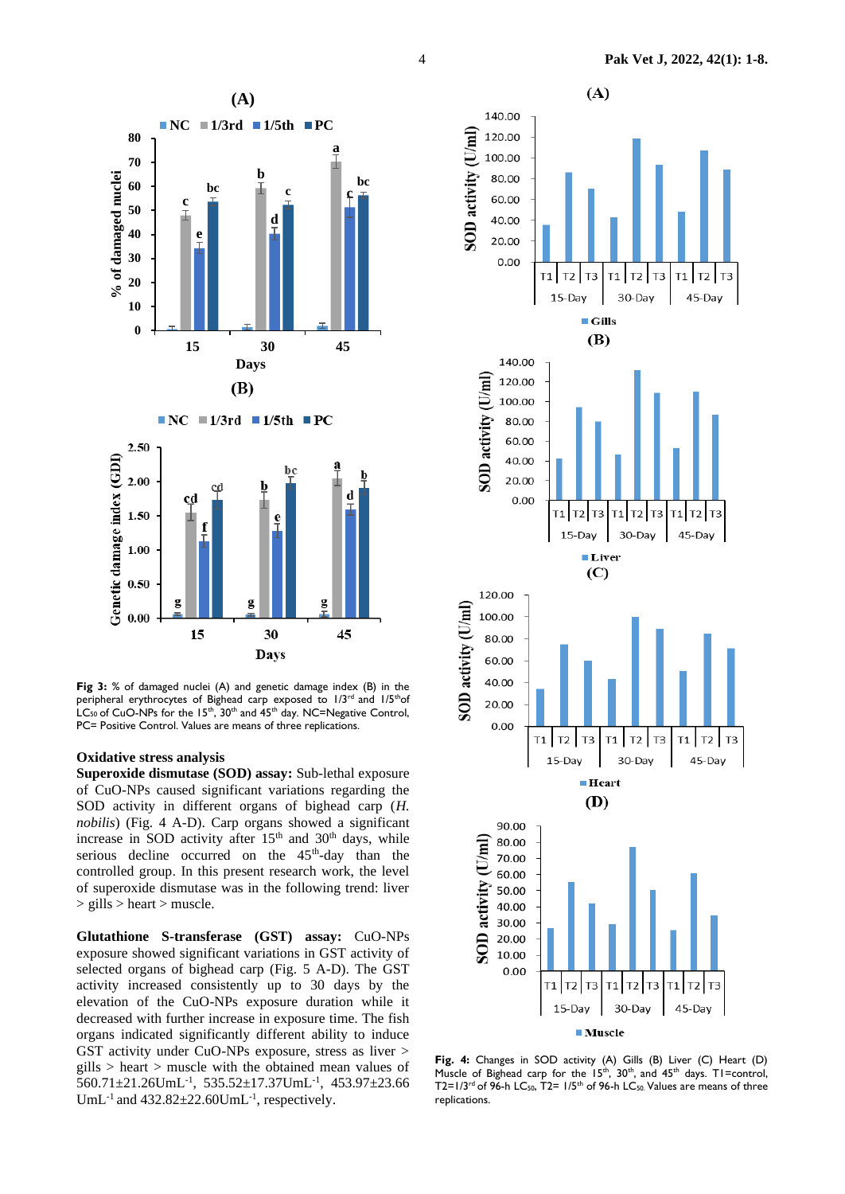

**Fig 3:** % of damaged nuclei (A) and genetic damage index (B) in the peripheral erythrocytes of Bighead carp exposed to 1/3rd and 1/5thof  $LC_{50}$  of CuO-NPs for the 15<sup>th</sup>, 30<sup>th</sup> and 45<sup>th</sup> day. NC=Negative Control, PC= Positive Control. Values are means of three replications.

#### **Oxidative stress analysis**

**Superoxide dismutase (SOD) assay:** Sub-lethal exposure of CuO-NPs caused significant variations regarding the SOD activity in different organs of bighead carp (*H. nobilis*) (Fig. 4 A-D). Carp organs showed a significant increase in SOD activity after  $15<sup>th</sup>$  and  $30<sup>th</sup>$  days, while serious decline occurred on the  $45<sup>th</sup>$ -day than the controlled group. In this present research work, the level of superoxide dismutase was in the following trend: liver > gills > heart > muscle.

**Glutathione S-transferase (GST) assay:** CuO-NPs exposure showed significant variations in GST activity of selected organs of bighead carp (Fig. 5 A-D). The GST activity increased consistently up to 30 days by the elevation of the CuO-NPs exposure duration while it decreased with further increase in exposure time. The fish organs indicated significantly different ability to induce GST activity under CuO-NPs exposure, stress as liver > gills > heart > muscle with the obtained mean values of 560.71±21.26UmL-1 , 535.52±17.37UmL-1 , 453.97±23.66 UmL<sup>-1</sup> and  $432.82 \pm 22.60$ UmL<sup>-1</sup>, respectively.



**Fig. 4:** Changes in SOD activity (A) Gills (B) Liver (C) Heart (D) Muscle of Bighead carp for the  $15<sup>th</sup>$ ,  $30<sup>th</sup>$ , and  $45<sup>th</sup>$  days. T1=control,  $T2=1/3^{rd}$  of 96-h LC<sub>50</sub>,  $T2=1/5^{th}$  of 96-h LC<sub>50</sub>. Values are means of three replications.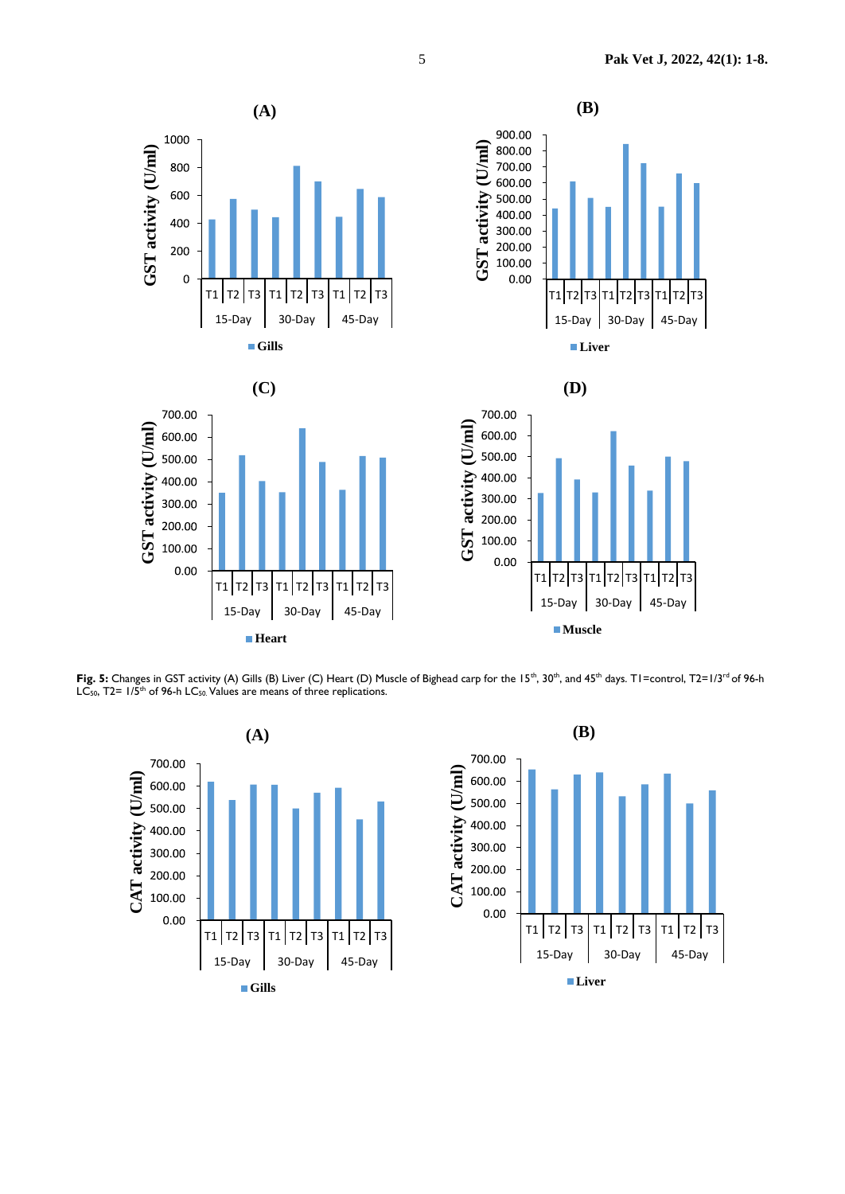

Fig. 5: Changes in GST activity (A) Gills (B) Liver (C) Heart (D) Muscle of Bighead carp for the 15<sup>th</sup>, 30<sup>th</sup>, and 45<sup>th</sup> days. T1=control, T2=1/3<sup>rd</sup> of 96-h LC<sub>50</sub>, T2= 1/5<sup>th</sup> of 96-h LC<sub>50</sub>. Values are means of three replications.

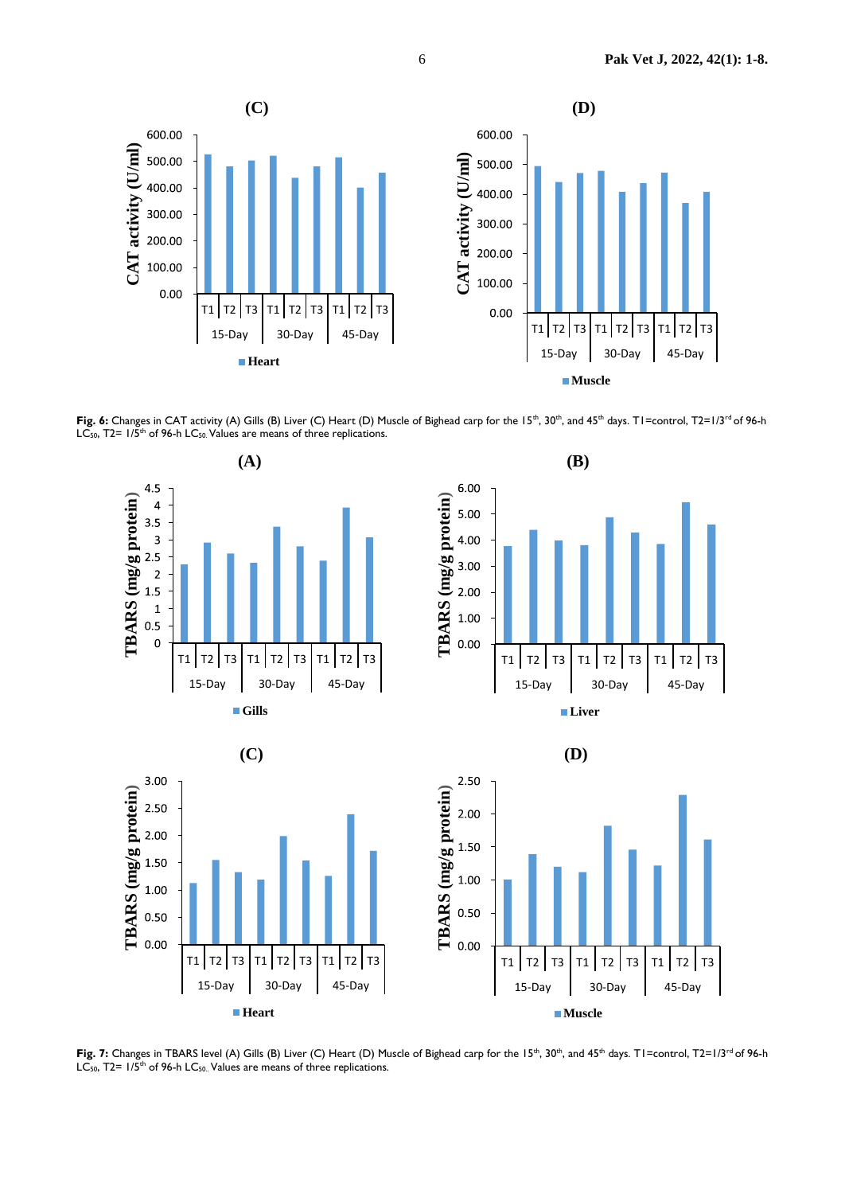

Fig. 6: Changes in CAT activity (A) Gills (B) Liver (C) Heart (D) Muscle of Bighead carp for the 15<sup>th</sup>, 30<sup>th</sup>, and 45<sup>th</sup> days. T1=control, T2=1/3<sup>rd</sup> of 96-h LC<sub>50</sub>,  $T2 = 1/5$ <sup>th</sup> of 96-h LC<sub>50</sub>. Values are means of three replications.







**TBARS (mg/g protein)**

TBARS (mg/g protein)

 $3.00$ 

2.50

2.00

1.50

1.00

0.50  $0.00$ 





**(D)**

Fig. 7: Changes in TBARS level (A) Gills (B) Liver (C) Heart (D) Muscle of Bighead carp for the 15<sup>th</sup>, 30<sup>th</sup>, and 45<sup>th</sup> days. T1=control, T2=1/3<sup>rd</sup> of 96-h  $LC_{50}$ , T2=  $1/5$ <sup>th</sup> of 96-h LC<sub>50</sub>. Values are means of three replications.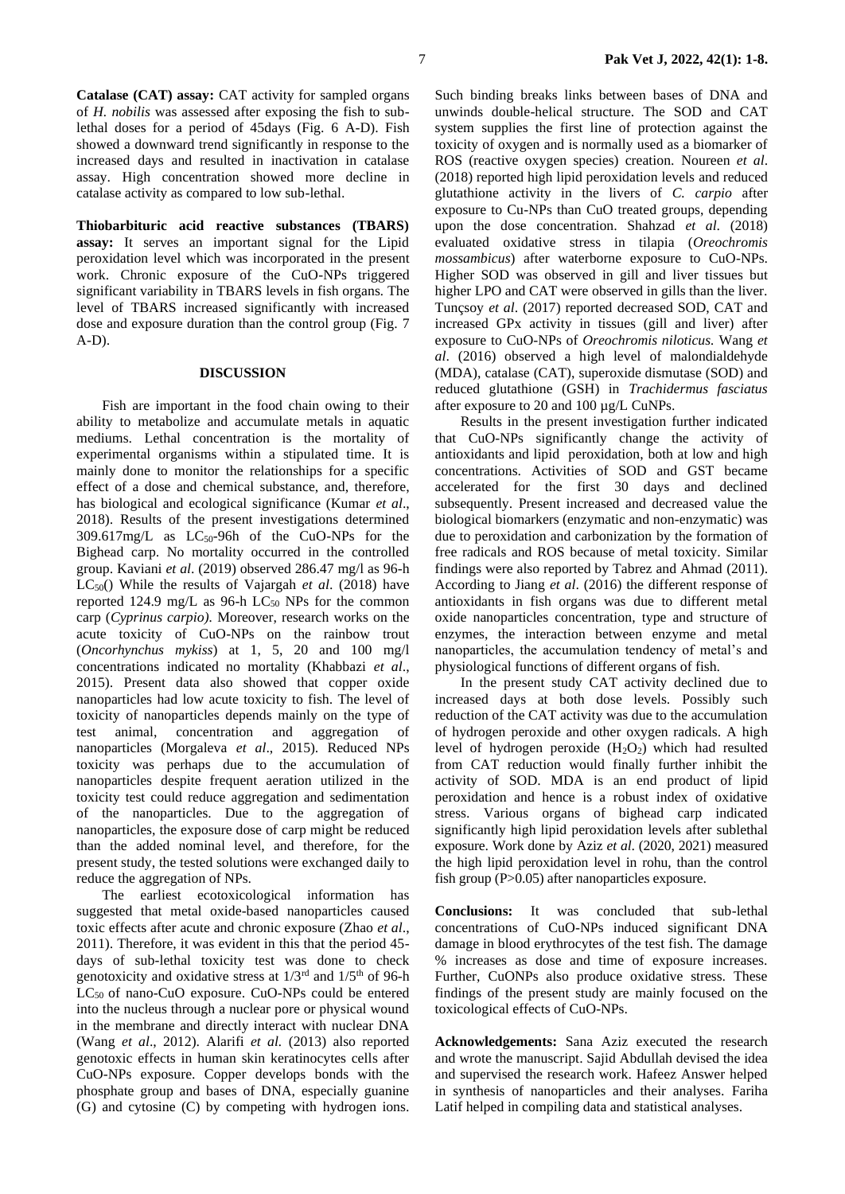**Catalase (CAT) assay:** CAT activity for sampled organs of *H. nobilis* was assessed after exposing the fish to sublethal doses for a period of 45days (Fig. 6 A-D). Fish showed a downward trend significantly in response to the increased days and resulted in inactivation in catalase assay. High concentration showed more decline in catalase activity as compared to low sub-lethal.

**Thiobarbituric acid reactive substances (TBARS) assay:** It serves an important signal for the Lipid peroxidation level which was incorporated in the present work. Chronic exposure of the CuO-NPs triggered significant variability in TBARS levels in fish organs*.* The level of TBARS increased significantly with increased dose and exposure duration than the control group (Fig. 7 A-D).

# **DISCUSSION**

Fish are important in the food chain owing to their ability to metabolize and accumulate metals in aquatic mediums. Lethal concentration is the mortality of experimental organisms within a stipulated time. It is mainly done to monitor the relationships for a specific effect of a dose and chemical substance, and, therefore, has biological and ecological significance (Kumar *et al*., 2018). Results of the present investigations determined  $309.617$ mg/L as  $LC_{50}$ -96h of the CuO-NPs for the Bighead carp. No mortality occurred in the controlled group. Kaviani *et al*. (2019) observed 286.47 mg/l as 96-h LC50() While the results of Vajargah *et al*. (2018) have reported 124.9 mg/L as 96-h  $LC_{50}$  NPs for the common carp (*Cyprinus carpio).* Moreover, research works on the acute toxicity of CuO-NPs on the rainbow trout (*Oncorhynchus mykiss*) at 1, 5, 20 and 100 mg/l concentrations indicated no mortality (Khabbazi *et al*., 2015). Present data also showed that copper oxide nanoparticles had low acute toxicity to fish. The level of toxicity of nanoparticles depends mainly on the type of test animal, concentration and aggregation of nanoparticles (Morgaleva *et al*., 2015). Reduced NPs toxicity was perhaps due to the accumulation of nanoparticles despite frequent aeration utilized in the toxicity test could reduce aggregation and sedimentation of the nanoparticles. Due to the aggregation of nanoparticles, the exposure dose of carp might be reduced than the added nominal level, and therefore, for the present study, the tested solutions were exchanged daily to reduce the aggregation of NPs.

The earliest ecotoxicological information has suggested that metal oxide-based nanoparticles caused toxic effects after acute and chronic exposure (Zhao *et al*., 2011). Therefore, it was evident in this that the period 45 days of sub-lethal toxicity test was done to check genotoxicity and oxidative stress at 1/3rd and 1/5th of 96-h LC<sub>50</sub> of nano-CuO exposure. CuO-NPs could be entered into the nucleus through a nuclear pore or physical wound in the membrane and directly interact with nuclear DNA (Wang *et al*., 2012). Alarifi *et al.* (2013) also reported genotoxic effects in human skin keratinocytes cells after CuO-NPs exposure. Copper develops bonds with the phosphate group and bases of DNA, especially guanine (G) and cytosine (C) by competing with hydrogen ions.

Such binding breaks links between bases of DNA and unwinds double-helical structure. The SOD and CAT system supplies the first line of protection against the toxicity of oxygen and is normally used as a biomarker of ROS (reactive oxygen species) creation. Noureen *et al*. (2018) reported high lipid peroxidation levels and reduced glutathione activity in the livers of *C. carpio* after exposure to Cu-NPs than CuO treated groups, depending upon the dose concentration. Shahzad *et al*. (2018) evaluated oxidative stress in tilapia (*Oreochromis mossambicus*) after waterborne exposure to CuO-NPs. Higher SOD was observed in gill and liver tissues but higher LPO and CAT were observed in gills than the liver. Tunçsoy *et al*. (2017) reported decreased SOD, CAT and increased GPx activity in tissues (gill and liver) after exposure to CuO-NPs of *Oreochromis niloticus.* Wang *et al*. (2016) observed a high level of malondialdehyde (MDA), catalase (CAT), superoxide dismutase (SOD) and reduced glutathione (GSH) in *Trachidermus fasciatus* after exposure to 20 and 100 µg/L CuNPs.

Results in the present investigation further indicated that CuO-NPs significantly change the activity of antioxidants and lipid peroxidation, both at low and high concentrations. Activities of SOD and GST became accelerated for the first 30 days and declined subsequently. Present increased and decreased value the biological biomarkers (enzymatic and non-enzymatic) was due to peroxidation and carbonization by the formation of free radicals and ROS because of metal toxicity. Similar findings were also reported by Tabrez and Ahmad (2011). According to Jiang *et al*. (2016) the different response of antioxidants in fish organs was due to different metal oxide nanoparticles concentration, type and structure of enzymes, the interaction between enzyme and metal nanoparticles, the accumulation tendency of metal's and physiological functions of different organs of fish.

In the present study CAT activity declined due to increased days at both dose levels. Possibly such reduction of the CAT activity was due to the accumulation of hydrogen peroxide and other oxygen radicals. A high level of hydrogen peroxide  $(H_2O_2)$  which had resulted from CAT reduction would finally further inhibit the activity of SOD. MDA is an end product of lipid peroxidation and hence is a robust index of oxidative stress. Various organs of bighead carp indicated significantly high lipid peroxidation levels after sublethal exposure. Work done by Aziz *et al*. (2020, 2021) measured the high lipid peroxidation level in rohu, than the control fish group (P>0.05) after nanoparticles exposure.

**Conclusions:** It was concluded that sub-lethal concentrations of CuO-NPs induced significant DNA damage in blood erythrocytes of the test fish. The damage % increases as dose and time of exposure increases. Further, CuONPs also produce oxidative stress. These findings of the present study are mainly focused on the toxicological effects of CuO-NPs.

**Acknowledgements:** Sana Aziz executed the research and wrote the manuscript. Sajid Abdullah devised the idea and supervised the research work. Hafeez Answer helped in synthesis of nanoparticles and their analyses. Fariha Latif helped in compiling data and statistical analyses.